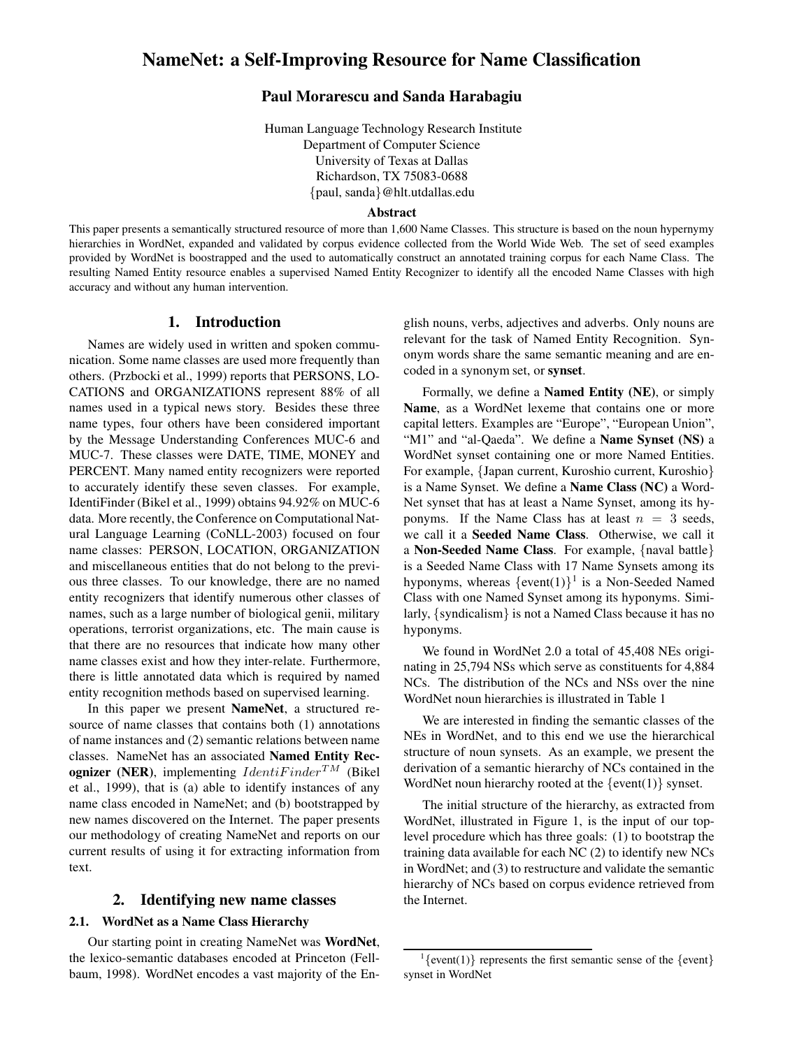# **NameNet: a Self-Improving Resource for Name Classification**

## **Paul Morarescu and Sanda Harabagiu**

Human Language Technology Research Institute Department of Computer Science University of Texas at Dallas Richardson, TX 75083-0688 {paul, sanda}@hlt.utdallas.edu

#### **Abstract**

This paper presents a semantically structured resource of more than 1,600 Name Classes. This structure is based on the noun hypernymy hierarchies in WordNet, expanded and validated by corpus evidence collected from the World Wide Web. The set of seed examples provided by WordNet is boostrapped and the used to automatically construct an annotated training corpus for each Name Class. The resulting Named Entity resource enables a supervised Named Entity Recognizer to identify all the encoded Name Classes with high accuracy and without any human intervention.

# **1. Introduction**

Names are widely used in written and spoken communication. Some name classes are used more frequently than others. (Przbocki et al., 1999) reports that PERSONS, LO-CATIONS and ORGANIZATIONS represent 88% of all names used in a typical news story. Besides these three name types, four others have been considered important by the Message Understanding Conferences MUC-6 and MUC-7. These classes were DATE, TIME, MONEY and PERCENT. Many named entity recognizers were reported to accurately identify these seven classes. For example, IdentiFinder (Bikel et al., 1999) obtains 94.92% on MUC-6 data. More recently, the Conference on Computational Natural Language Learning (CoNLL-2003) focused on four name classes: PERSON, LOCATION, ORGANIZATION and miscellaneous entities that do not belong to the previous three classes. To our knowledge, there are no named entity recognizers that identify numerous other classes of names, such as a large number of biological genii, military operations, terrorist organizations, etc. The main cause is that there are no resources that indicate how many other name classes exist and how they inter-relate. Furthermore, there is little annotated data which is required by named entity recognition methods based on supervised learning.

In this paper we present **NameNet**, a structured resource of name classes that contains both (1) annotations of name instances and (2) semantic relations between name classes. NameNet has an associated **Named Entity Recognizer** (NER), implementing  $Identifinder^{TM}$  (Bikel et al., 1999), that is (a) able to identify instances of any name class encoded in NameNet; and (b) bootstrapped by new names discovered on the Internet. The paper presents our methodology of creating NameNet and reports on our current results of using it for extracting information from text.

### **2. Identifying new name classes**

### **2.1. WordNet as a Name Class Hierarchy**

Our starting point in creating NameNet was **WordNet**, the lexico-semantic databases encoded at Princeton (Fellbaum, 1998). WordNet encodes a vast majority of the En-

glish nouns, verbs, adjectives and adverbs. Only nouns are relevant for the task of Named Entity Recognition. Synonym words share the same semantic meaning and are encoded in a synonym set, or **synset**.

Formally, we define a **Named Entity (NE)**, or simply **Name**, as a WordNet lexeme that contains one or more capital letters. Examples are "Europe", "European Union", "M1" and "al-Qaeda". We define a **Name Synset (NS)** a WordNet synset containing one or more Named Entities. For example, {Japan current, Kuroshio current, Kuroshio} is a Name Synset. We define a **Name Class (NC)** a Word-Net synset that has at least a Name Synset, among its hyponyms. If the Name Class has at least  $n = 3$  seeds, we call it a **Seeded Name Class**. Otherwise, we call it a **Non-Seeded Name Class**. For example, {naval battle} is a Seeded Name Class with 17 Name Synsets among its hyponyms, whereas  $\{event(1)\}^1$  is a Non-Seeded Named Class with one Named Synset among its hyponyms. Similarly, {syndicalism} is not a Named Class because it has no hyponyms.

We found in WordNet 2.0 a total of 45,408 NEs originating in 25,794 NSs which serve as constituents for 4,884 NCs. The distribution of the NCs and NSs over the nine WordNet noun hierarchies is illustrated in Table 1

We are interested in finding the semantic classes of the NEs in WordNet, and to this end we use the hierarchical structure of noun synsets. As an example, we present the derivation of a semantic hierarchy of NCs contained in the WordNet noun hierarchy rooted at the  $\{event(1)\}$  synset.

The initial structure of the hierarchy, as extracted from WordNet, illustrated in Figure 1, is the input of our toplevel procedure which has three goals: (1) to bootstrap the training data available for each NC (2) to identify new NCs in WordNet; and (3) to restructure and validate the semantic hierarchy of NCs based on corpus evidence retrieved from the Internet.

 $\{$ [event(1)] represents the first semantic sense of the  $\{$ event] synset in WordNet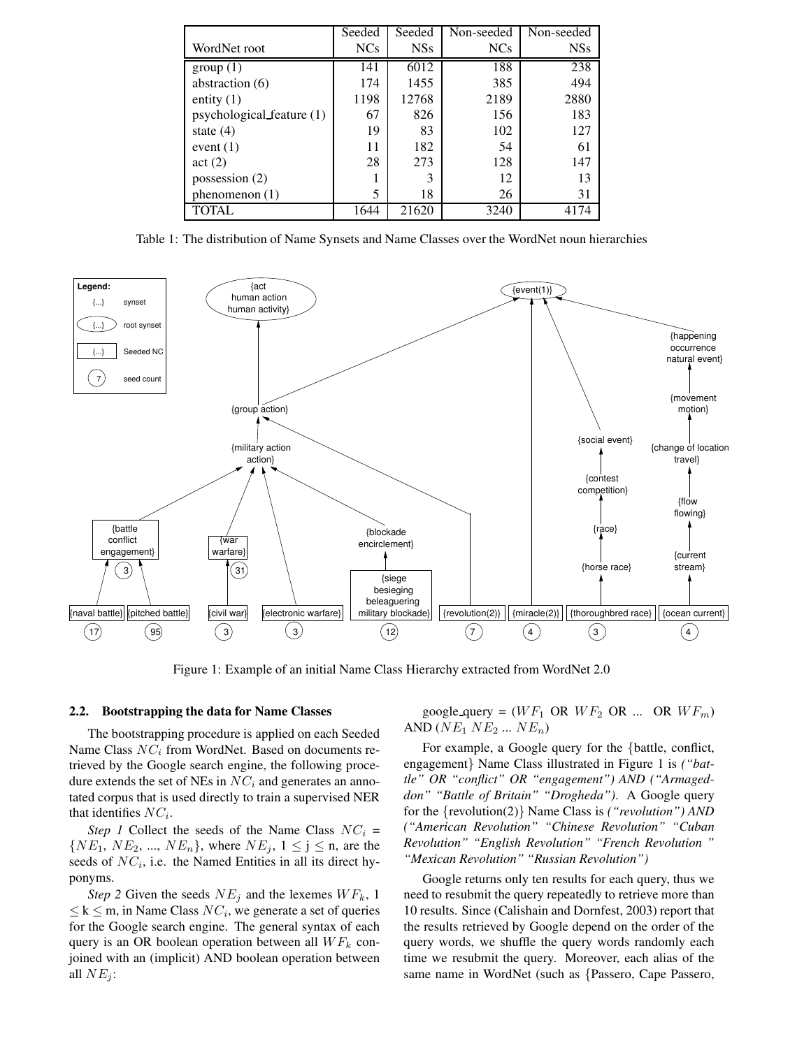|                           | Seeded          | Seeded     | Non-seeded | Non-seeded |
|---------------------------|-----------------|------------|------------|------------|
| WordNet root              | NC <sub>s</sub> | <b>NSs</b> | <b>NCs</b> | <b>NSs</b> |
| group(1)                  | 141             | 6012       | 188        | 238        |
| abstraction (6)           | 174             | 1455       | 385        | 494        |
| entity $(1)$              | 1198            | 12768      | 2189       | 2880       |
| psychological feature (1) | 67              | 826        | 156        | 183        |
| state $(4)$               | 19              | 83         | 102        | 127        |
| event $(1)$               | 11              | 182        | 54         | 61         |
| act(2)                    | 28              | 273        | 128        | 147        |
| possession $(2)$          |                 | 3          | 12         | 13         |
| phenomenon $(1)$          | 5               | 18         | 26         | 31         |
| <b>TOTAL</b>              | 1644            | 21620      | 3240       | 4174       |

Table 1: The distribution of Name Synsets and Name Classes over the WordNet noun hierarchies



Figure 1: Example of an initial Name Class Hierarchy extracted from WordNet 2.0

### **2.2. Bootstrapping the data for Name Classes**

The bootstrapping procedure is applied on each Seeded Name Class  $NC_i$  from WordNet. Based on documents retrieved by the Google search engine, the following procedure extends the set of NEs in  $NC_i$  and generates an annotated corpus that is used directly to train a supervised NER that identifies  $NC_i$ .

*Step 1* Collect the seeds of the Name Class  $NC_i$  =  $\{NE_1, NE_2, ..., NE_n\}$ , where  $NE_j$ ,  $1 \le j \le n$ , are the seeds of  $NC_i$ , i.e. the Named Entities in all its direct hyponyms.

*Step* 2 Given the seeds  $NE<sub>j</sub>$  and the lexemes  $WF<sub>k</sub>$ , 1  $\leq k \leq m$ , in Name Class  $NC_i$ , we generate a set of queries for the Google search engine. The general syntax of each query is an OR boolean operation between all  $WF_k$  conjoined with an (implicit) AND boolean operation between all  $NE_j$ :

google query =  $(WF_1 \t{OR} WF_2 \t{OR} ... \t{OR} WF_m)$ AND  $(NE_1 NE_2 ... NE_n)$ 

For example, a Google query for the {battle, conflict, engagement} Name Class illustrated in Figure 1 is *("battle" OR "conflict" OR "engagement") AND ("Armageddon" "Battle of Britain" "Drogheda")*. A Google query for the {revolution(2)} Name Class is *("revolution") AND ("American Revolution" "Chinese Revolution" "Cuban Revolution" "English Revolution" "French Revolution " "Mexican Revolution" "Russian Revolution")*

Google returns only ten results for each query, thus we need to resubmit the query repeatedly to retrieve more than 10 results. Since (Calishain and Dornfest, 2003) report that the results retrieved by Google depend on the order of the query words, we shuffle the query words randomly each time we resubmit the query. Moreover, each alias of the same name in WordNet (such as {Passero, Cape Passero,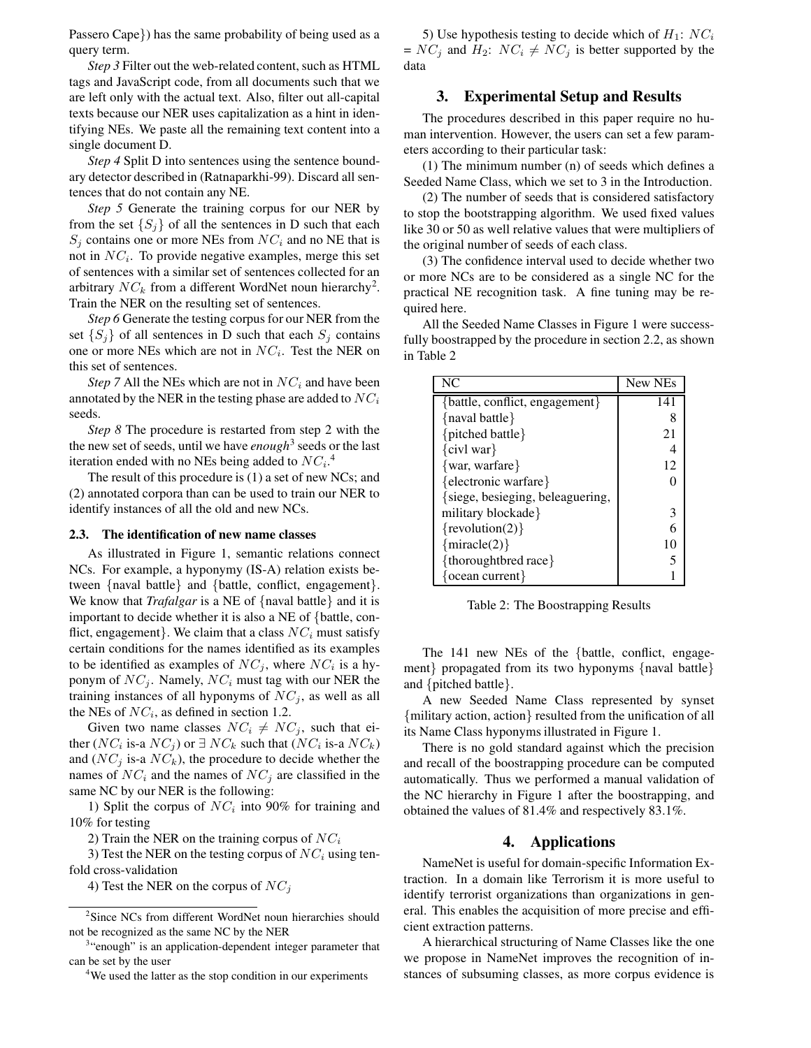Passero Cape}) has the same probability of being used as a query term.

*Step 3* Filter out the web-related content, such as HTML tags and JavaScript code, from all documents such that we are left only with the actual text. Also, filter out all-capital texts because our NER uses capitalization as a hint in identifying NEs. We paste all the remaining text content into a single document D.

*Step 4* Split D into sentences using the sentence boundary detector described in (Ratnaparkhi-99). Discard all sentences that do not contain any NE.

*Step* 5 Generate the training corpus for our NER by from the set  $\{S_i\}$  of all the sentences in D such that each  $S_i$  contains one or more NEs from  $NC_i$  and no NE that is not in  $NC_i$ . To provide negative examples, merge this set of sentences with a similar set of sentences collected for an arbitrary  $NC_k$  from a different WordNet noun hierarchy<sup>2</sup>. Train the NER on the resulting set of sentences.

*Step 6* Generate the testing corpus for our NER from the set  $\{S_j\}$  of all sentences in D such that each  $S_j$  contains one or more NEs which are not in  $NC_i$ . Test the NER on this set of sentences.

*Step* 7 All the NEs which are not in  $NC_i$  and have been annotated by the NER in the testing phase are added to  $NC_i$ seeds.

*Step 8* The procedure is restarted from step 2 with the the new set of seeds, until we have *enough*<sup>3</sup> seeds or the last iteration ended with no NEs being added to  $NC_i$ .<sup>4</sup>

The result of this procedure is (1) a set of new NCs; and (2) annotated corpora than can be used to train our NER to identify instances of all the old and new NCs.

#### **2.3. The identification of new name classes**

As illustrated in Figure 1, semantic relations connect NCs. For example, a hyponymy (IS-A) relation exists between {naval battle} and {battle, conflict, engagement}. We know that *Trafalgar* is a NE of {naval battle} and it is important to decide whether it is also a NE of {battle, conflict, engagement}. We claim that a class  $NC_i$  must satisfy certain conditions for the names identified as its examples to be identified as examples of  $NC_j$ , where  $NC_i$  is a hyponym of  $NC_j$ . Namely,  $NC_i$  must tag with our NER the training instances of all hyponyms of  $NC_i$ , as well as all the NEs of  $NC_i$ , as defined in section 1.2.

Given two name classes  $NC_i \neq NC_j$ , such that either ( $NC_i$  is-a  $NC_j$ ) or  $\exists NC_k$  such that ( $NC_i$  is-a  $NC_k$ ) and  $(NC_i$  is-a  $NC_k$ ), the procedure to decide whether the names of  $NC_i$  and the names of  $NC_j$  are classified in the same NC by our NER is the following:

1) Split the corpus of  $NC_i$  into 90% for training and 10% for testing

2) Train the NER on the training corpus of  $NC_i$ 

3) Test the NER on the testing corpus of  $NC_i$  using tenfold cross-validation

4) Test the NER on the corpus of  $NC_j$ 

5) Use hypothesis testing to decide which of  $H_1: NC_i$ =  $NC_j$  and  $H_2$ :  $NC_i \neq NC_j$  is better supported by the data

### **3. Experimental Setup and Results**

The procedures described in this paper require no human intervention. However, the users can set a few parameters according to their particular task:

(1) The minimum number (n) of seeds which defines a Seeded Name Class, which we set to 3 in the Introduction.

(2) The number of seeds that is considered satisfactory to stop the bootstrapping algorithm. We used fixed values like 30 or 50 as well relative values that were multipliers of the original number of seeds of each class.

(3) The confidence interval used to decide whether two or more NCs are to be considered as a single NC for the practical NE recognition task. A fine tuning may be required here.

All the Seeded Name Classes in Figure 1 were successfully boostrapped by the procedure in section 2.2, as shown in Table 2

| NC                               | New NEs |
|----------------------------------|---------|
| {battle, conflict, engagement}   | 141     |
| {naval battle}                   | 8       |
| {pitched battle}                 | 21      |
| $\{$ civl war $\}$               |         |
| $\{war, warfare\}$               | 12      |
| {electronic warfare}             |         |
| {siege, besieging, beleaguering, |         |
| military blockade}               | 3       |
| { $revolution(2)$ }              | 6       |
| $\{$ miracle $(2)\}$             | 10      |
| {thoroughtbred race}             |         |
| $ocean current\}$                |         |

Table 2: The Boostrapping Results

The 141 new NEs of the {battle, conflict, engagement} propagated from its two hyponyms {naval battle} and {pitched battle}.

A new Seeded Name Class represented by synset {military action, action} resulted from the unification of all its Name Class hyponyms illustrated in Figure 1.

There is no gold standard against which the precision and recall of the boostrapping procedure can be computed automatically. Thus we performed a manual validation of the NC hierarchy in Figure 1 after the boostrapping, and obtained the values of 81.4% and respectively 83.1%.

### **4. Applications**

NameNet is useful for domain-specific Information Extraction. In a domain like Terrorism it is more useful to identify terrorist organizations than organizations in general. This enables the acquisition of more precise and efficient extraction patterns.

A hierarchical structuring of Name Classes like the one we propose in NameNet improves the recognition of instances of subsuming classes, as more corpus evidence is

<sup>&</sup>lt;sup>2</sup>Since NCs from different WordNet noun hierarchies should not be recognized as the same NC by the NER

<sup>&</sup>lt;sup>3</sup>"enough" is an application-dependent integer parameter that can be set by the user

<sup>&</sup>lt;sup>4</sup>We used the latter as the stop condition in our experiments